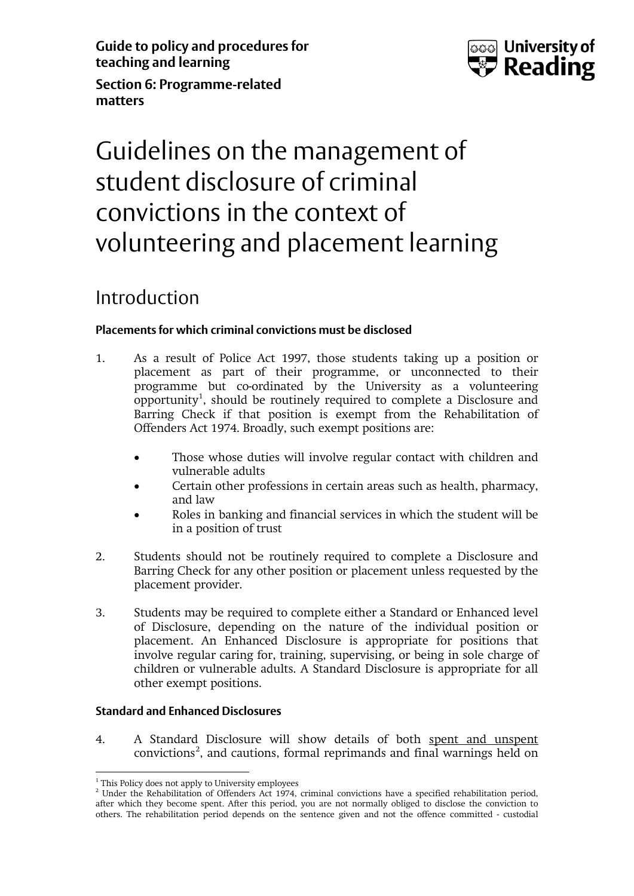**Guide to policy and procedures for teaching and learning Section 6: Programme-related** 



# Guidelines on the management of student disclosure of criminal convictions in the context of volunteering and placement learning

### Introduction

**matters** 

#### **Placements for which criminal convictions must be disclosed**

- 1. As a result of Police Act 1997, those students taking up a position or placement as part of their programme, or unconnected to their programme but co-ordinated by the University as a volunteering opportunity<sup>[1](#page-0-0)</sup>, should be routinely required to complete a Disclosure and Barring Check if that position is exempt from the Rehabilitation of Offenders Act 1974. Broadly, such exempt positions are:
	- Those whose duties will involve regular contact with children and vulnerable adults
	- Certain other professions in certain areas such as health, pharmacy, and law
	- Roles in banking and financial services in which the student will be in a position of trust
- 2. Students should not be routinely required to complete a Disclosure and Barring Check for any other position or placement unless requested by the placement provider.
- 3. Students may be required to complete either a Standard or Enhanced level of Disclosure, depending on the nature of the individual position or placement. An Enhanced Disclosure is appropriate for positions that involve regular caring for, training, supervising, or being in sole charge of children or vulnerable adults. A Standard Disclosure is appropriate for all other exempt positions.

#### **Standard and Enhanced Disclosures**

4. A Standard Disclosure will show details of both spent and unspent convictions<sup>[2](#page-0-1)</sup>, and cautions, formal reprimands and final warnings held on

<sup>&</sup>lt;sup>1</sup> This Policy does not apply to University employees  $\overline{a}$ 

<span id="page-0-1"></span><span id="page-0-0"></span> $<sup>2</sup>$  Under the Rehabilitation of Offenders Act 1974, criminal convictions have a specified rehabilitation period,</sup> after which they become spent. After this period, you are not normally obliged to disclose the conviction to others. The rehabilitation period depends on the sentence given and not the offence committed - custodial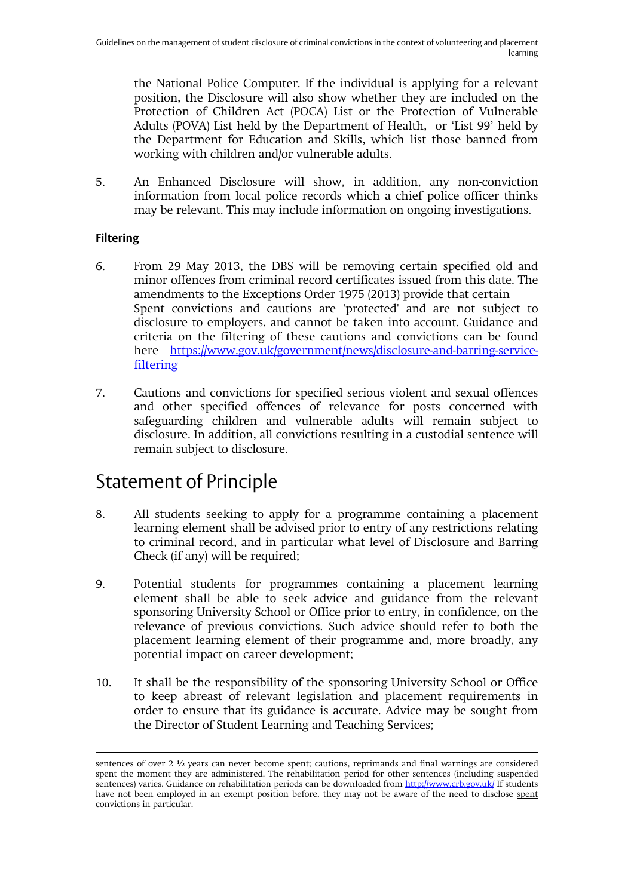the National Police Computer. If the individual is applying for a relevant position, the Disclosure will also show whether they are included on the Protection of Children Act (POCA) List or the Protection of Vulnerable Adults (POVA) List held by the Department of Health, or 'List 99' held by the Department for Education and Skills, which list those banned from working with children and/or vulnerable adults.

5. An Enhanced Disclosure will show, in addition, any non-conviction information from local police records which a chief police officer thinks may be relevant. This may include information on ongoing investigations.

#### **Filtering**

 $\overline{a}$ 

- 6. From 29 May 2013, the DBS will be removing certain specified old and minor offences from criminal record certificates issued from this date. The amendments to the Exceptions Order 1975 (2013) provide that certain Spent convictions and cautions are 'protected' and are not subject to disclosure to employers, and cannot be taken into account. Guidance and criteria on the filtering of these cautions and convictions can be found here [https://www.gov.uk/government/news/disclosure-and-barring-service](https://www.gov.uk/government/news/disclosure-and-barring-service-filtering)[filtering](https://www.gov.uk/government/news/disclosure-and-barring-service-filtering)
- 7. Cautions and convictions for specified serious violent and sexual offences and other specified offences of relevance for posts concerned with safeguarding children and vulnerable adults will remain subject to disclosure. In addition, all convictions resulting in a custodial sentence will remain subject to disclosure.

### Statement of Principle

- 8. All students seeking to apply for a programme containing a placement learning element shall be advised prior to entry of any restrictions relating to criminal record, and in particular what level of Disclosure and Barring Check (if any) will be required;
- 9. Potential students for programmes containing a placement learning element shall be able to seek advice and guidance from the relevant sponsoring University School or Office prior to entry, in confidence, on the relevance of previous convictions. Such advice should refer to both the placement learning element of their programme and, more broadly, any potential impact on career development;
- 10. It shall be the responsibility of the sponsoring University School or Office to keep abreast of relevant legislation and placement requirements in order to ensure that its guidance is accurate. Advice may be sought from the Director of Student Learning and Teaching Services;

sentences of over 2 ½ years can never become spent; cautions, reprimands and final warnings are considered spent the moment they are administered. The rehabilitation period for other sentences (including suspended sentences) varies. Guidance on rehabilitation periods can be downloaded fro[m http://www.crb.gov.uk/](http://www.crb.gov.uk/) If students have not been employed in an exempt position before, they may not be aware of the need to disclose spent convictions in particular.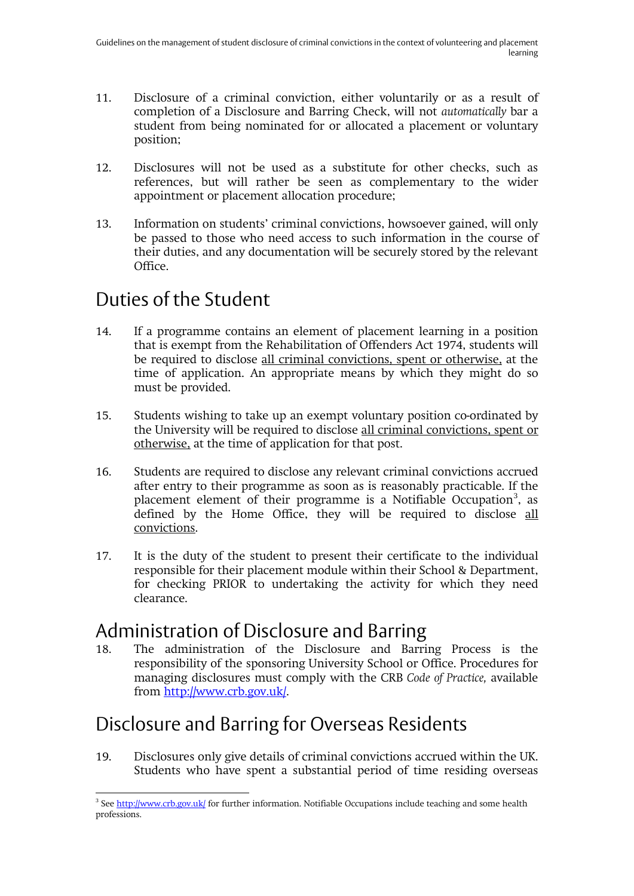- 11. Disclosure of a criminal conviction, either voluntarily or as a result of completion of a Disclosure and Barring Check, will not *automatically* bar a student from being nominated for or allocated a placement or voluntary position;
- 12. Disclosures will not be used as a substitute for other checks, such as references, but will rather be seen as complementary to the wider appointment or placement allocation procedure;
- 13. Information on students' criminal convictions, howsoever gained, will only be passed to those who need access to such information in the course of their duties, and any documentation will be securely stored by the relevant Office.

# Duties of the Student

- 14. If a programme contains an element of placement learning in a position that is exempt from the Rehabilitation of Offenders Act 1974, students will be required to disclose all criminal convictions, spent or otherwise, at the time of application. An appropriate means by which they might do so must be provided.
- 15. Students wishing to take up an exempt voluntary position co-ordinated by the University will be required to disclose all criminal convictions, spent or otherwise, at the time of application for that post.
- 16. Students are required to disclose any relevant criminal convictions accrued after entry to their programme as soon as is reasonably practicable. If the placement element of their programme is a Notifiable Occupation<sup>[3](#page-2-0)</sup>, as defined by the Home Office, they will be required to disclose all convictions.
- 17. It is the duty of the student to present their certificate to the individual responsible for their placement module within their School & Department, for checking PRIOR to undertaking the activity for which they need clearance.

### Administration of Disclosure and Barring

18. The administration of the Disclosure and Barring Process is the responsibility of the sponsoring University School or Office. Procedures for managing disclosures must comply with the CRB *Code of Practice,* available from [http://www.crb.gov.uk/.](http://www.crb.gov.uk/)

# Disclosure and Barring for Overseas Residents

19. Disclosures only give details of criminal convictions accrued within the UK. Students who have spent a substantial period of time residing overseas

<span id="page-2-0"></span><sup>&</sup>lt;sup>3</sup> Se[e http://www.crb.gov.uk/](http://www.crb.gov.uk/) for further information. Notifiable Occupations include teaching and some health professions.  $\overline{a}$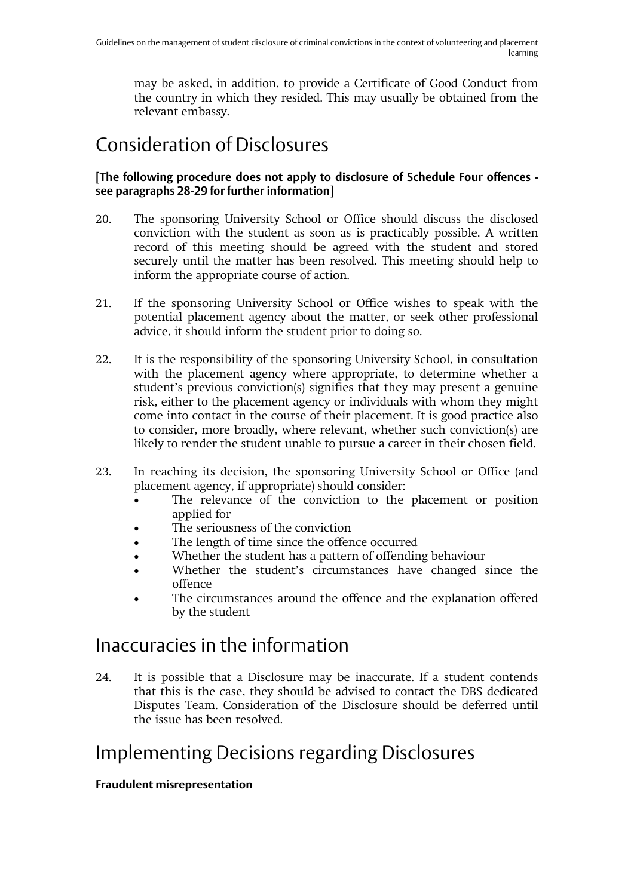may be asked, in addition, to provide a Certificate of Good Conduct from the country in which they resided. This may usually be obtained from the relevant embassy.

# Consideration of Disclosures

#### **[The following procedure does not apply to disclosure of Schedule Four offences see paragraphs 28-29 for further information]**

- 20. The sponsoring University School or Office should discuss the disclosed conviction with the student as soon as is practicably possible. A written record of this meeting should be agreed with the student and stored securely until the matter has been resolved. This meeting should help to inform the appropriate course of action.
- 21. If the sponsoring University School or Office wishes to speak with the potential placement agency about the matter, or seek other professional advice, it should inform the student prior to doing so.
- 22. It is the responsibility of the sponsoring University School, in consultation with the placement agency where appropriate, to determine whether a student's previous conviction(s) signifies that they may present a genuine risk, either to the placement agency or individuals with whom they might come into contact in the course of their placement. It is good practice also to consider, more broadly, where relevant, whether such conviction(s) are likely to render the student unable to pursue a career in their chosen field.
- 23. In reaching its decision, the sponsoring University School or Office (and placement agency, if appropriate) should consider:
	- The relevance of the conviction to the placement or position applied for
	- The seriousness of the conviction
	- The length of time since the offence occurred
	- Whether the student has a pattern of offending behaviour
	- Whether the student's circumstances have changed since the offence
	- The circumstances around the offence and the explanation offered by the student

### Inaccuracies in the information

24. It is possible that a Disclosure may be inaccurate. If a student contends that this is the case, they should be advised to contact the DBS dedicated Disputes Team. Consideration of the Disclosure should be deferred until the issue has been resolved.

### Implementing Decisions regarding Disclosures

#### **Fraudulent misrepresentation**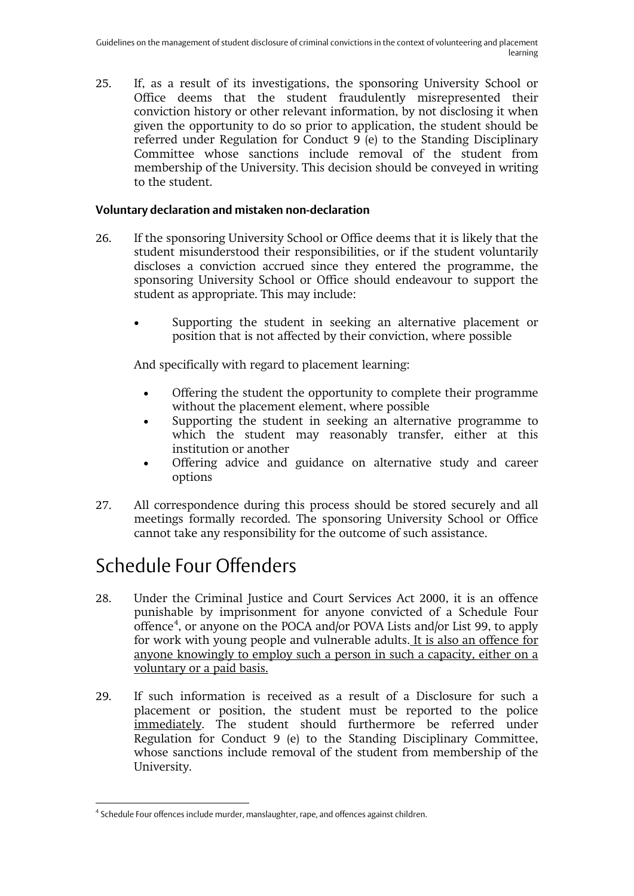25. If, as a result of its investigations, the sponsoring University School or Office deems that the student fraudulently misrepresented their conviction history or other relevant information, by not disclosing it when given the opportunity to do so prior to application, the student should be referred under Regulation for Conduct 9 (e) to the Standing Disciplinary Committee whose sanctions include removal of the student from membership of the University. This decision should be conveyed in writing to the student.

#### **Voluntary declaration and mistaken non-declaration**

- 26. If the sponsoring University School or Office deems that it is likely that the student misunderstood their responsibilities, or if the student voluntarily discloses a conviction accrued since they entered the programme, the sponsoring University School or Office should endeavour to support the student as appropriate. This may include:
	- Supporting the student in seeking an alternative placement or position that is not affected by their conviction, where possible

And specifically with regard to placement learning:

- Offering the student the opportunity to complete their programme without the placement element, where possible
- Supporting the student in seeking an alternative programme to which the student may reasonably transfer, either at this institution or another
- Offering advice and guidance on alternative study and career options
- 27. All correspondence during this process should be stored securely and all meetings formally recorded. The sponsoring University School or Office cannot take any responsibility for the outcome of such assistance.

# Schedule Four Offenders

- 28. Under the Criminal Justice and Court Services Act 2000, it is an offence punishable by imprisonment for anyone convicted of a Schedule Four offence<sup>[4](#page-4-0)</sup>, or anyone on the POCA and/or POVA Lists and/or List 99, to apply for work with young people and vulnerable adults. It is also an offence for anyone knowingly to employ such a person in such a capacity, either on a voluntary or a paid basis.
- 29. If such information is received as a result of a Disclosure for such a placement or position, the student must be reported to the police immediately. The student should furthermore be referred under Regulation for Conduct 9 (e) to the Standing Disciplinary Committee, whose sanctions include removal of the student from membership of the University.

<span id="page-4-0"></span><sup>4</sup> Schedule Four offences include murder, manslaughter, rape, and offences against children.  $\overline{a}$